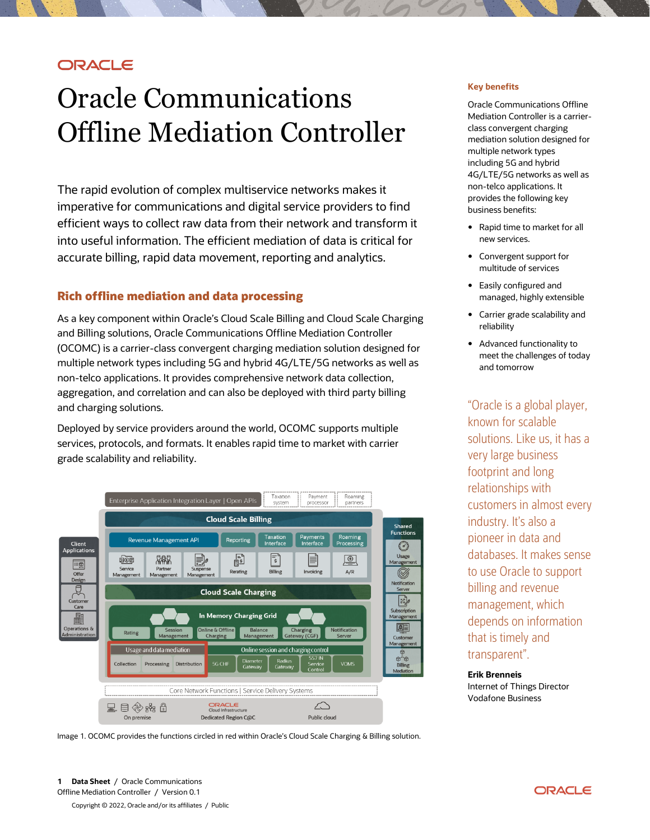# **ORACLE**

# Oracle Communications Offline Mediation Controller

The rapid evolution of complex multiservice networks makes it imperative for communications and digital service providers to find efficient ways to collect raw data from their network and transform it into useful information. The efficient mediation of data is critical for accurate billing, rapid data movement, reporting and analytics.

#### **Rich offline mediation and data processing**

As a key component within Oracle's Cloud Scale Billing and Cloud Scale Charging and Billing solutions, Oracle Communications Offline Mediation Controller (OCOMC) is a carrier-class convergent charging mediation solution designed for multiple network types including 5G and hybrid 4G/LTE/5G networks as well as non-telco applications. It provides comprehensive network data collection, aggregation, and correlation and can also be deployed with third party billing and charging solutions.

Deployed by service providers around the world, OCOMC supports multiple services, protocols, and formats. It enables rapid time to market with carrier grade scalability and reliability.



Image 1. OCOMC provides the functions circled in red within Oracle's Cloud Scale Charging & Billing solution.

#### **Key benefits**

Oracle Communications Offline Mediation Controller is a carrierclass convergent charging mediation solution designed for multiple network types including 5G and hybrid 4G/LTE/5G networks as well as non-telco applications. It provides the following key business benefits:

- Rapid time to market for all new services.
- Convergent support for multitude of services
- Easily configured and managed, highly extensible
- Carrier grade scalability and reliability
- Advanced functionality to meet the challenges of today and tomorrow

"Oracle is a global player, known for scalable solutions. Like us, it has a very large business footprint and long relationships with customers in almost every industry. It's also a pioneer in data and databases. It makes sense to use Oracle to support billing and revenue management, which depends on information that is timely and transparent".

**Erik Brenneis** Internet of Things Director Vodafone Business

**1 Data Sheet** / Oracle Communications Offline Mediation Controller / Version 0.1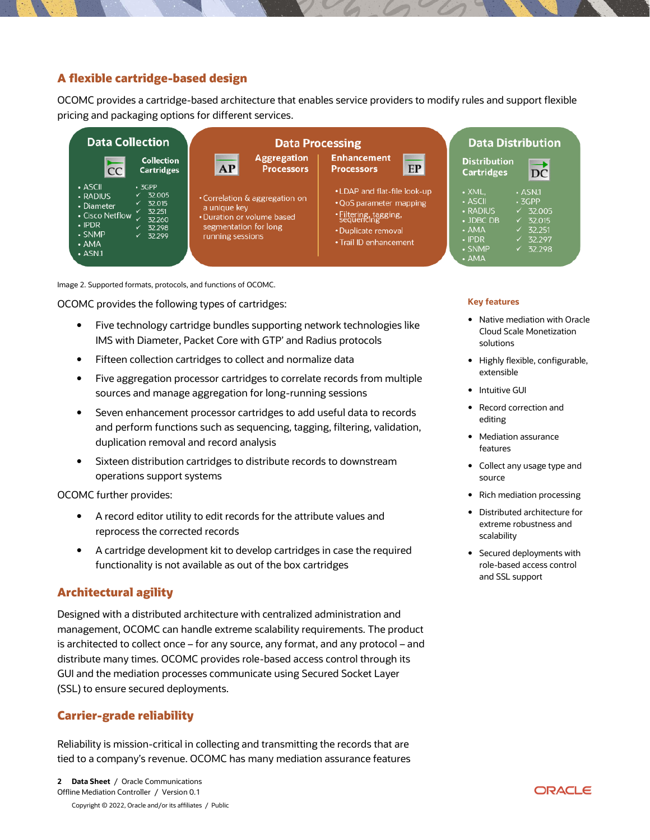## **A flexible cartridge-based design**

OCOMC provides a cartridge-based architecture that enables service providers to modify rules and support flexible pricing and packaging options for different services.



Image 2. Supported formats, protocols, and functions of OCOMC.

OCOMC provides the following types of cartridges:

- Five technology cartridge bundles supporting network technologies like IMS with Diameter, Packet Core with GTP' and Radius protocols
- Fifteen collection cartridges to collect and normalize data
- Five aggregation processor cartridges to correlate records from multiple sources and manage aggregation for long-running sessions
- Seven enhancement processor cartridges to add useful data to records and perform functions such as sequencing, tagging, filtering, validation, duplication removal and record analysis
- Sixteen distribution cartridges to distribute records to downstream operations support systems

OCOMC further provides:

- A record editor utility to edit records for the attribute values and reprocess the corrected records
- A cartridge development kit to develop cartridges in case the required functionality is not available as out of the box cartridges

## **Architectural agility**

Designed with a distributed architecture with centralized administration and management, OCOMC can handle extreme scalability requirements. The product is architected to collect once – for any source, any format, and any protocol – and distribute many times. OCOMC provides role-based access control through its GUI and the mediation processes communicate using Secured Socket Layer (SSL) to ensure secured deployments.

## **Carrier-grade reliability**

Reliability is mission-critical in collecting and transmitting the records that are tied to a company's revenue. OCOMC has many mediation assurance features

#### **Key features**

- Native mediation with Oracle Cloud Scale Monetization solutions
- Highly flexible, configurable, extensible
- Intuitive GUI
- Record correction and editing
- Mediation assurance features
- Collect any usage type and source
- Rich mediation processing
- Distributed architecture for extreme robustness and scalability
- Secured deployments with role-based access control and SSL support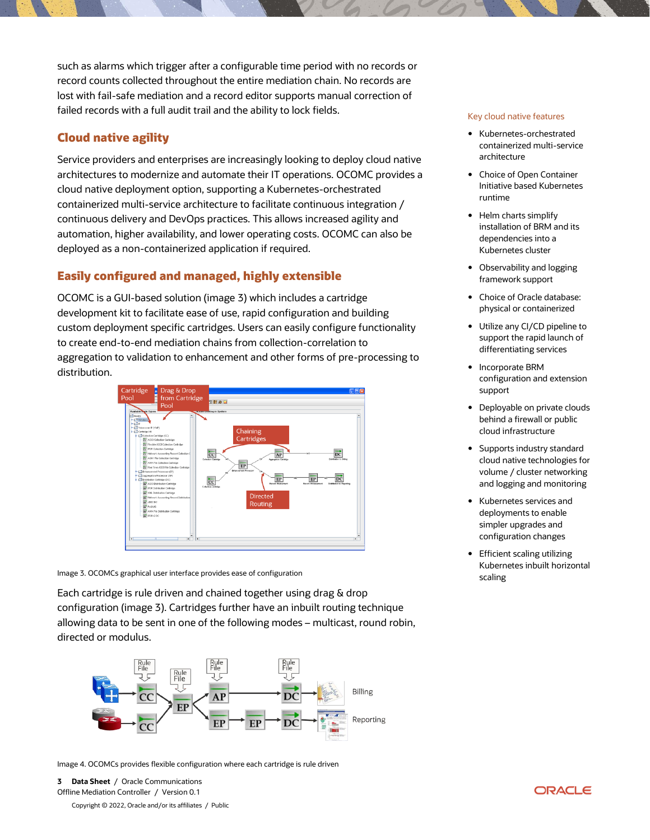such as alarms which trigger after a configurable time period with no records or record counts collected throughout the entire mediation chain. No records are lost with fail-safe mediation and a record editor supports manual correction of failed records with a full audit trail and the ability to lock fields.

## **Cloud native agility**

Service providers and enterprises are increasingly looking to deploy cloud native architectures to modernize and automate their IT operations. OCOMC provides a cloud native deployment option, supporting a Kubernetes-orchestrated containerized multi-service architecture to facilitate continuous integration / continuous delivery and DevOps practices. This allows increased agility and automation, higher availability, and lower operating costs. OCOMC can also be deployed as a non-containerized application if required.

## **Easily configured and managed, highly extensible**

OCOMC is a GUI-based solution (image 3) which includes a cartridge development kit to facilitate ease of use, rapid configuration and building custom deployment specific cartridges. Users can easily configure functionality to create end-to-end mediation chains from collection-correlation to aggregation to validation to enhancement and other forms of pre-processing to distribution.



Image 3. OCOMCs graphical user interface provides ease of configuration

Each cartridge is rule driven and chained together using drag & drop configuration (image 3). Cartridges further have an inbuilt routing technique allowing data to be sent in one of the following modes – multicast, round robin, directed or modulus.



Image 4. OCOMCs provides flexible configuration where each cartridge is rule driven

**3 Data Sheet** / Oracle Communications Offline Mediation Controller / Version 0.1

Copyright © 2022, Oracle and/or its affiliates / Public

#### Key cloud native features

- Kubernetes-orchestrated containerized multi-service architecture
- Choice of Open Container Initiative based Kubernetes runtime
- Helm charts simplify installation of BRM and its dependencies into a Kubernetes cluster
- Observability and logging framework support
- Choice of Oracle database: physical or containerized
- Utilize any CI/CD pipeline to support the rapid launch of differentiating services
- Incorporate BRM configuration and extension support
- Deployable on private clouds behind a firewall or public cloud infrastructure
- Supports industry standard cloud native technologies for volume / cluster networking and logging and monitoring
- Kubernetes services and deployments to enable simpler upgrades and configuration changes
- Efficient scaling utilizing Kubernetes inbuilt horizontal scaling